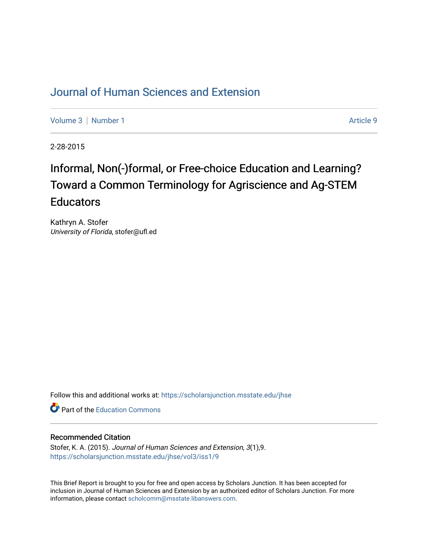## [Journal of Human Sciences and Extension](https://scholarsjunction.msstate.edu/jhse)

[Volume 3](https://scholarsjunction.msstate.edu/jhse/vol3) | [Number 1](https://scholarsjunction.msstate.edu/jhse/vol3/iss1) Article 9

2-28-2015

# Informal, Non(-)formal, or Free-choice Education and Learning? Toward a Common Terminology for Agriscience and Ag-STEM **Educators**

Kathryn A. Stofer University of Florida, stofer@ufl.ed

Follow this and additional works at: [https://scholarsjunction.msstate.edu/jhse](https://scholarsjunction.msstate.edu/jhse?utm_source=scholarsjunction.msstate.edu%2Fjhse%2Fvol3%2Fiss1%2F9&utm_medium=PDF&utm_campaign=PDFCoverPages)

Part of the [Education Commons](http://network.bepress.com/hgg/discipline/784?utm_source=scholarsjunction.msstate.edu%2Fjhse%2Fvol3%2Fiss1%2F9&utm_medium=PDF&utm_campaign=PDFCoverPages)

#### Recommended Citation

Stofer, K. A. (2015). Journal of Human Sciences and Extension, 3(1),9. [https://scholarsjunction.msstate.edu/jhse/vol3/iss1/9](https://scholarsjunction.msstate.edu/jhse/vol3/iss1/9?utm_source=scholarsjunction.msstate.edu%2Fjhse%2Fvol3%2Fiss1%2F9&utm_medium=PDF&utm_campaign=PDFCoverPages)

This Brief Report is brought to you for free and open access by Scholars Junction. It has been accepted for inclusion in Journal of Human Sciences and Extension by an authorized editor of Scholars Junction. For more information, please contact [scholcomm@msstate.libanswers.com](mailto:scholcomm@msstate.libanswers.com).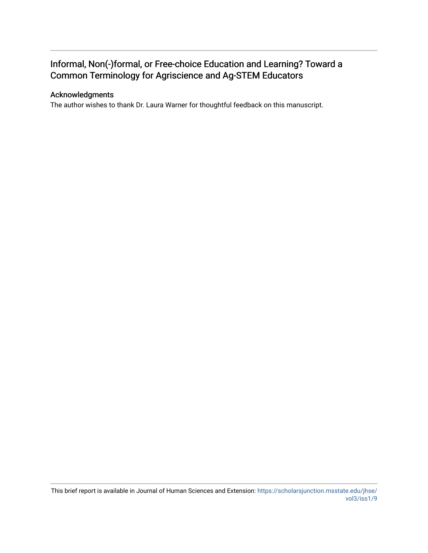### Informal, Non(-)formal, or Free-choice Education and Learning? Toward a Common Terminology for Agriscience and Ag-STEM Educators

#### Acknowledgments

The author wishes to thank Dr. Laura Warner for thoughtful feedback on this manuscript.

This brief report is available in Journal of Human Sciences and Extension: [https://scholarsjunction.msstate.edu/jhse/](https://scholarsjunction.msstate.edu/jhse/vol3/iss1/9) [vol3/iss1/9](https://scholarsjunction.msstate.edu/jhse/vol3/iss1/9)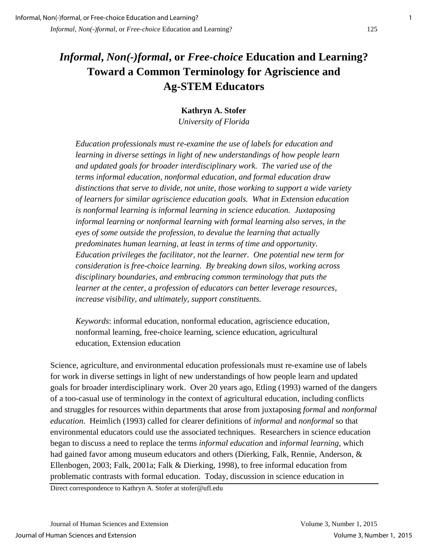## *Informal***,** *Non(-)formal***, or** *Free-choice* **Education and Learning? Toward a Common Terminology for Agriscience and Ag-STEM Educators**

**Kathryn A. Stofer** 

*University of Florida* 

*Education professionals must re-examine the use of labels for education and learning in diverse settings in light of new understandings of how people learn and updated goals for broader interdisciplinary work. The varied use of the terms informal education, nonformal education, and formal education draw distinctions that serve to divide, not unite, those working to support a wide variety of learners for similar agriscience education goals. What in Extension education is nonformal learning is informal learning in science education. Juxtaposing informal learning or nonformal learning with formal learning also serves, in the eyes of some outside the profession, to devalue the learning that actually predominates human learning, at least in terms of time and opportunity. Education privileges the facilitator, not the learner. One potential new term for consideration is free-choice learning. By breaking down silos, working across disciplinary boundaries, and embracing common terminology that puts the learner at the center, a profession of educators can better leverage resources, increase visibility, and ultimately, support constituents.* 

*Keywords*: informal education, nonformal education, agriscience education, nonformal learning, free-choice learning, science education, agricultural education, Extension education

Science, agriculture, and environmental education professionals must re-examine use of labels for work in diverse settings in light of new understandings of how people learn and updated goals for broader interdisciplinary work. Over 20 years ago, Etling (1993) warned of the dangers of a too-casual use of terminology in the context of agricultural education, including conflicts and struggles for resources within departments that arose from juxtaposing *formal* and *nonformal education*. Heimlich (1993) called for clearer definitions of *informal* and *nonformal* so that environmental educators could use the associated techniques. Researchers in science education began to discuss a need to replace the terms *informal education* and *informal learning*, which had gained favor among museum educators and others (Dierking, Falk, Rennie, Anderson, & Ellenbogen, 2003; Falk, 2001a; Falk & Dierking, 1998), to free informal education from problematic contrasts with formal education. Today, discussion in science education in

Direct correspondence to Kathryn A. Stofer at stofer@ufl.edu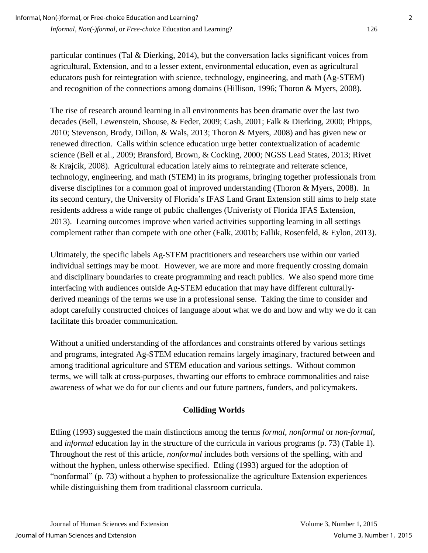particular continues (Tal & Dierking, 2014), but the conversation lacks significant voices from agricultural, Extension, and to a lesser extent, environmental education, even as agricultural educators push for reintegration with science, technology, engineering, and math (Ag-STEM) and recognition of the connections among domains (Hillison, 1996; Thoron & Myers, 2008).

The rise of research around learning in all environments has been dramatic over the last two decades (Bell, Lewenstein, Shouse, & Feder, 2009; Cash, 2001; Falk & Dierking, 2000; Phipps, 2010; Stevenson, Brody, Dillon, & Wals, 2013; Thoron & Myers, 2008) and has given new or renewed direction. Calls within science education urge better contextualization of academic science (Bell et al., 2009; Bransford, Brown, & Cocking, 2000; NGSS Lead States, 2013; Rivet & Krajcik, 2008). Agricultural education lately aims to reintegrate and reiterate science, technology, engineering, and math (STEM) in its programs, bringing together professionals from diverse disciplines for a common goal of improved understanding (Thoron & Myers, 2008). In its second century, the University of Florida's IFAS Land Grant Extension still aims to help state residents address a wide range of public challenges (Univeristy of Florida IFAS Extension, 2013). Learning outcomes improve when varied activities supporting learning in all settings complement rather than compete with one other (Falk, 2001b; Fallik, Rosenfeld, & Eylon, 2013).

Ultimately, the specific labels Ag-STEM practitioners and researchers use within our varied individual settings may be moot. However, we are more and more frequently crossing domain and disciplinary boundaries to create programming and reach publics. We also spend more time interfacing with audiences outside Ag-STEM education that may have different culturallyderived meanings of the terms we use in a professional sense. Taking the time to consider and adopt carefully constructed choices of language about what we do and how and why we do it can facilitate this broader communication.

Without a unified understanding of the affordances and constraints offered by various settings and programs, integrated Ag-STEM education remains largely imaginary, fractured between and among traditional agriculture and STEM education and various settings. Without common terms, we will talk at cross-purposes, thwarting our efforts to embrace commonalities and raise awareness of what we do for our clients and our future partners, funders, and policymakers.

#### **Colliding Worlds**

Etling (1993) suggested the main distinctions among the terms *formal*, *nonformal* or *non-formal*, and *informal* education lay in the structure of the curricula in various programs (p. 73) (Table 1). Throughout the rest of this article, *nonformal* includes both versions of the spelling, with and without the hyphen, unless otherwise specified. Etling (1993) argued for the adoption of "nonformal" (p. 73) without a hyphen to professionalize the agriculture Extension experiences while distinguishing them from traditional classroom curricula.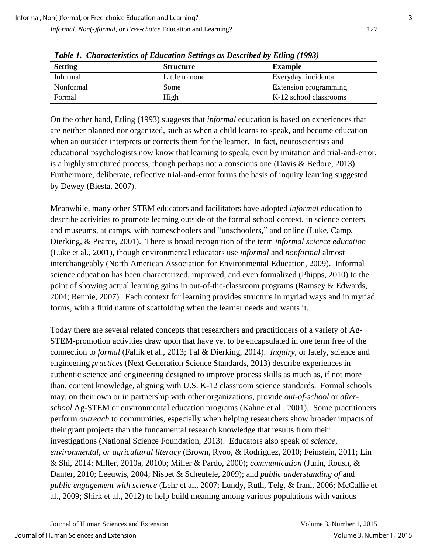| <b>Setting</b>  | <b>Structure</b> | <b>Example</b>         |
|-----------------|------------------|------------------------|
| <b>Informal</b> | Little to none   | Everyday, incidental   |
| Nonformal       | Some             | Extension programming  |
| Formal          | High             | K-12 school classrooms |

*Table 1. Characteristics of Education Settings as Described by Etling (1993)*

On the other hand, Etling (1993) suggests that *informal* education is based on experiences that are neither planned nor organized, such as when a child learns to speak, and become education when an outsider interprets or corrects them for the learner. In fact, neuroscientists and educational psychologists now know that learning to speak, even by imitation and trial-and-error, is a highly structured process, though perhaps not a conscious one (Davis & Bedore, 2013). Furthermore, deliberate, reflective trial-and-error forms the basis of inquiry learning suggested by Dewey (Biesta, 2007).

Meanwhile, many other STEM educators and facilitators have adopted *informal* education to describe activities to promote learning outside of the formal school context, in science centers and museums, at camps, with homeschoolers and "unschoolers," and online (Luke, Camp, Dierking, & Pearce, 2001). There is broad recognition of the term *informal science education* (Luke et al., 2001), though environmental educators use *informal* and *nonformal* almost interchangeably (North American Association for Environmental Education, 2009). Informal science education has been characterized, improved, and even formalized (Phipps, 2010) to the point of showing actual learning gains in out-of-the-classroom programs (Ramsey & Edwards, 2004; Rennie, 2007). Each context for learning provides structure in myriad ways and in myriad forms, with a fluid nature of scaffolding when the learner needs and wants it.

Today there are several related concepts that researchers and practitioners of a variety of Ag-STEM-promotion activities draw upon that have yet to be encapsulated in one term free of the connection to *formal* (Fallik et al., 2013; Tal & Dierking, 2014). *Inquiry,* or lately, science and engineering *practices* (Next Generation Science Standards, 2013) describe experiences in authentic science and engineering designed to improve process skills as much as, if not more than, content knowledge, aligning with U.S. K-12 classroom science standards. Formal schools may, on their own or in partnership with other organizations, provide *out-of-school* or *afterschool* Ag-STEM or environmental education programs (Kahne et al., 2001). Some practitioners perform *outreach* to communities, especially when helping researchers show broader impacts of their grant projects than the fundamental research knowledge that results from their investigations (National Science Foundation, 2013). Educators also speak of *science, environmental, or agricultural literacy* (Brown, Ryoo, & Rodriguez, 2010; Feinstein, 2011; Lin & Shi, 2014; Miller, 2010a, 2010b; Miller & Pardo, 2000); *communication* (Jurin, Roush, & Danter, 2010; Leeuwis, 2004; Nisbet & Scheufele, 2009); and *public understanding of* and *public engagement with science* (Lehr et al., 2007; Lundy, Ruth, Telg, & Irani, 2006; McCallie et al., 2009; Shirk et al., 2012) to help build meaning among various populations with various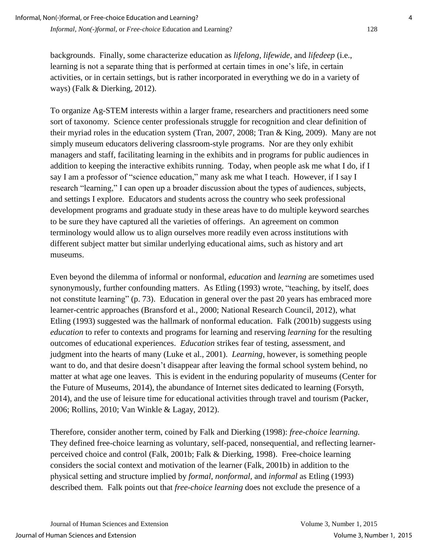backgrounds. Finally, some characterize education as *lifelong*, *lifewide*, and *lifedeep* (i.e., learning is not a separate thing that is performed at certain times in one's life, in certain activities, or in certain settings, but is rather incorporated in everything we do in a variety of ways) (Falk & Dierking, 2012).

To organize Ag-STEM interests within a larger frame, researchers and practitioners need some sort of taxonomy. Science center professionals struggle for recognition and clear definition of their myriad roles in the education system (Tran, 2007, 2008; Tran & King, 2009). Many are not simply museum educators delivering classroom-style programs. Nor are they only exhibit managers and staff, facilitating learning in the exhibits and in programs for public audiences in addition to keeping the interactive exhibits running. Today, when people ask me what I do, if I say I am a professor of "science education," many ask me what I teach. However, if I say I research "learning," I can open up a broader discussion about the types of audiences, subjects, and settings I explore. Educators and students across the country who seek professional development programs and graduate study in these areas have to do multiple keyword searches to be sure they have captured all the varieties of offerings. An agreement on common terminology would allow us to align ourselves more readily even across institutions with different subject matter but similar underlying educational aims, such as history and art museums.

Even beyond the dilemma of informal or nonformal, *education* and *learning* are sometimes used synonymously, further confounding matters. As Etling (1993) wrote, "teaching, by itself, does not constitute learning" (p. 73). Education in general over the past 20 years has embraced more learner-centric approaches (Bransford et al., 2000; National Research Council, 2012), what Etling (1993) suggested was the hallmark of nonformal education. Falk (2001b) suggests using *education* to refer to contexts and programs for learning and reserving *learning* for the resulting outcomes of educational experiences. *Education* strikes fear of testing, assessment, and judgment into the hearts of many (Luke et al., 2001). *Learning*, however, is something people want to do, and that desire doesn't disappear after leaving the formal school system behind, no matter at what age one leaves. This is evident in the enduring popularity of museums (Center for the Future of Museums, 2014), the abundance of Internet sites dedicated to learning (Forsyth, 2014), and the use of leisure time for educational activities through travel and tourism (Packer, 2006; Rollins, 2010; Van Winkle & Lagay, 2012).

Therefore, consider another term, coined by Falk and Dierking (1998): *free-choice learning.* They defined free-choice learning as voluntary, self-paced, nonsequential, and reflecting learnerperceived choice and control (Falk, 2001b; Falk & Dierking, 1998). Free-choice learning considers the social context and motivation of the learner (Falk, 2001b) in addition to the physical setting and structure implied by *formal, nonformal,* and *informal* as Etling (1993) described them*.* Falk points out that *free-choice learning* does not exclude the presence of a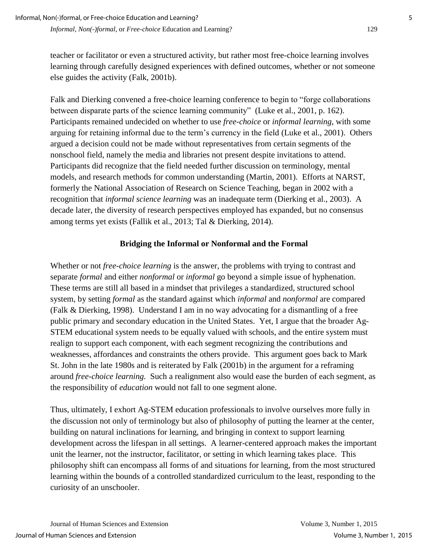teacher or facilitator or even a structured activity, but rather most free-choice learning involves learning through carefully designed experiences with defined outcomes, whether or not someone else guides the activity (Falk, 2001b).

Falk and Dierking convened a free-choice learning conference to begin to "forge collaborations between disparate parts of the science learning community" (Luke et al., 2001, p. 162). Participants remained undecided on whether to use *free-choice* or *informal learning*, with some arguing for retaining informal due to the term's currency in the field (Luke et al., 2001). Others argued a decision could not be made without representatives from certain segments of the nonschool field, namely the media and libraries not present despite invitations to attend. Participants did recognize that the field needed further discussion on terminology, mental models, and research methods for common understanding (Martin, 2001). Efforts at NARST, formerly the National Association of Research on Science Teaching, began in 2002 with a recognition that *informal science learning* was an inadequate term (Dierking et al., 2003). A decade later, the diversity of research perspectives employed has expanded, but no consensus among terms yet exists (Fallik et al., 2013; Tal & Dierking, 2014).

#### **Bridging the Informal or Nonformal and the Formal**

Whether or not *free-choice learning* is the answer, the problems with trying to contrast and separate *formal* and either *nonformal* or *informal* go beyond a simple issue of hyphenation. These terms are still all based in a mindset that privileges a standardized, structured school system, by setting *formal* as the standard against which *informal* and *nonformal* are compared (Falk & Dierking, 1998). Understand I am in no way advocating for a dismantling of a free public primary and secondary education in the United States. Yet, I argue that the broader Ag-STEM educational system needs to be equally valued with schools, and the entire system must realign to support each component, with each segment recognizing the contributions and weaknesses, affordances and constraints the others provide. This argument goes back to Mark St. John in the late 1980s and is reiterated by Falk (2001b) in the argument for a reframing around *free-choice learning.* Such a realignment also would ease the burden of each segment, as the responsibility of *education* would not fall to one segment alone.

Thus, ultimately, I exhort Ag-STEM education professionals to involve ourselves more fully in the discussion not only of terminology but also of philosophy of putting the learner at the center, building on natural inclinations for learning, and bringing in context to support learning development across the lifespan in all settings. A learner-centered approach makes the important unit the learner, not the instructor, facilitator, or setting in which learning takes place. This philosophy shift can encompass all forms of and situations for learning, from the most structured learning within the bounds of a controlled standardized curriculum to the least, responding to the curiosity of an unschooler.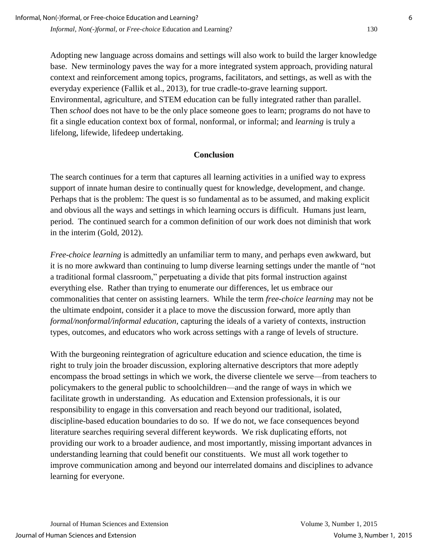Adopting new language across domains and settings will also work to build the larger knowledge base. New terminology paves the way for a more integrated system approach, providing natural context and reinforcement among topics, programs, facilitators, and settings, as well as with the everyday experience (Fallik et al., 2013), for true cradle-to-grave learning support. Environmental, agriculture, and STEM education can be fully integrated rather than parallel. Then *school* does not have to be the only place someone goes to learn; programs do not have to fit a single education context box of formal, nonformal, or informal; and *learning* is truly a lifelong, lifewide, lifedeep undertaking.

#### **Conclusion**

The search continues for a term that captures all learning activities in a unified way to express support of innate human desire to continually quest for knowledge, development, and change. Perhaps that is the problem: The quest is so fundamental as to be assumed, and making explicit and obvious all the ways and settings in which learning occurs is difficult. Humans just learn, period. The continued search for a common definition of our work does not diminish that work in the interim (Gold, 2012).

*Free-choice learning* is admittedly an unfamiliar term to many, and perhaps even awkward, but it is no more awkward than continuing to lump diverse learning settings under the mantle of "not a traditional formal classroom," perpetuating a divide that pits formal instruction against everything else. Rather than trying to enumerate our differences, let us embrace our commonalities that center on assisting learners. While the term *free-choice learning* may not be the ultimate endpoint, consider it a place to move the discussion forward, more aptly than *formal/nonformal/informal education*, capturing the ideals of a variety of contexts, instruction types, outcomes, and educators who work across settings with a range of levels of structure.

With the burgeoning reintegration of agriculture education and science education, the time is right to truly join the broader discussion, exploring alternative descriptors that more adeptly encompass the broad settings in which we work, the diverse clientele we serve—from teachers to policymakers to the general public to schoolchildren—and the range of ways in which we facilitate growth in understanding. As education and Extension professionals, it is our responsibility to engage in this conversation and reach beyond our traditional, isolated, discipline-based education boundaries to do so. If we do not, we face consequences beyond literature searches requiring several different keywords. We risk duplicating efforts, not providing our work to a broader audience, and most importantly, missing important advances in understanding learning that could benefit our constituents. We must all work together to improve communication among and beyond our interrelated domains and disciplines to advance learning for everyone.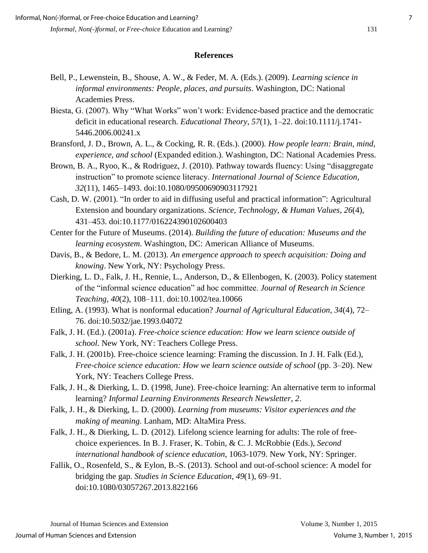#### **References**

- Bell, P., Lewenstein, B., Shouse, A. W., & Feder, M. A. (Eds.). (2009). *Learning science in informal environments: People, places, and pursuits*. Washington, DC: National Academies Press.
- Biesta, G. (2007). Why "What Works" won't work: Evidence-based practice and the democratic deficit in educational research. *Educational Theory*, *57*(1), 1–22. doi:10.1111/j.1741- 5446.2006.00241.x
- Bransford, J. D., Brown, A. L., & Cocking, R. R. (Eds.). (2000). *How people learn: Brain, mind, experience, and school* (Expanded edition.). Washington, DC: National Academies Press.
- Brown, B. A., Ryoo, K., & Rodriguez, J. (2010). Pathway towards fluency: Using "disaggregate instruction" to promote science literacy. *International Journal of Science Education*, *32*(11), 1465–1493. doi:10.1080/09500690903117921
- Cash, D. W. (2001). "In order to aid in diffusing useful and practical information": Agricultural Extension and boundary organizations. *Science, Technology, & Human Values*, *26*(4), 431–453. doi:10.1177/016224390102600403
- Center for the Future of Museums. (2014). *Building the future of education: Museums and the learning ecosystem*. Washington, DC: American Alliance of Museums.
- Davis, B., & Bedore, L. M. (2013). *An emergence approach to speech acquisition: Doing and knowing*. New York, NY: Psychology Press.
- Dierking, L. D., Falk, J. H., Rennie, L., Anderson, D., & Ellenbogen, K. (2003). Policy statement of the "informal science education" ad hoc committee. *Journal of Research in Science Teaching*, *40*(2), 108–111. doi:10.1002/tea.10066
- Etling, A. (1993). What is nonformal education? *Journal of Agricultural Education*, *34*(4), 72– 76. doi:10.5032/jae.1993.04072
- Falk, J. H. (Ed.). (2001a). *Free-choice science education: How we learn science outside of school*. New York, NY: Teachers College Press.
- Falk, J. H. (2001b). Free-choice science learning: Framing the discussion. In J. H. Falk (Ed.), *Free-choice science education: How we learn science outside of school* (pp. 3–20). New York, NY: Teachers College Press.
- Falk, J. H., & Dierking, L. D. (1998, June). Free-choice learning: An alternative term to informal learning? *Informal Learning Environments Research Newsletter*, *2*.
- Falk, J. H., & Dierking, L. D. (2000). *Learning from museums: Visitor experiences and the making of meaning*. Lanham, MD: AltaMira Press.
- Falk, J. H., & Dierking, L. D. (2012). Lifelong science learning for adults: The role of freechoice experiences. In B. J. Fraser, K. Tobin, & C. J. McRobbie (Eds.), *Second international handbook of science education*, 1063-1079. New York, NY: Springer.
- Fallik, O., Rosenfeld, S., & Eylon, B.-S. (2013). School and out-of-school science: A model for bridging the gap. *Studies in Science Education*, *49*(1), 69–91. doi:10.1080/03057267.2013.822166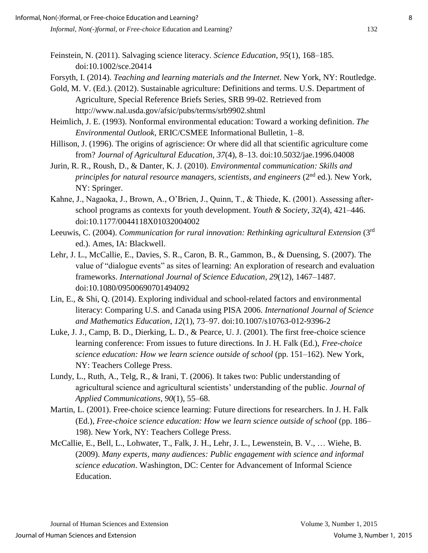- Feinstein, N. (2011). Salvaging science literacy. *Science Education*, *95*(1), 168–185. doi:10.1002/sce.20414
- Forsyth, I. (2014). *Teaching and learning materials and the Internet*. New York, NY: Routledge.
- Gold, M. V. (Ed.). (2012). Sustainable agriculture: Definitions and terms. U.S. Department of Agriculture, Special Reference Briefs Series, SRB 99-02. Retrieved from http://www.nal.usda.gov/afsic/pubs/terms/srb9902.shtml
- Heimlich, J. E. (1993). Nonformal environmental education: Toward a working definition. *The Environmental Outlook*, ERIC/CSMEE Informational Bulletin, 1–8.
- Hillison, J. (1996). The origins of agriscience: Or where did all that scientific agriculture come from? *Journal of Agricultural Education*, *37*(4), 8–13. doi:10.5032/jae.1996.04008
- Jurin, R. R., Roush, D., & Danter, K. J. (2010). *Environmental communication: Skills and principles for natural resource managers, scientists, and engineers (2<sup>nd</sup> ed.). New York,* NY: Springer.
- Kahne, J., Nagaoka, J., Brown, A., O'Brien, J., Quinn, T., & Thiede, K. (2001). Assessing afterschool programs as contexts for youth development. *Youth & Society*, *32*(4), 421–446. doi:10.1177/0044118X01032004002
- Leeuwis, C. (2004). *Communication for rural innovation: Rethinking agricultural Extension* (3rd ed.). Ames, IA: Blackwell.
- Lehr, J. L., McCallie, E., Davies, S. R., Caron, B. R., Gammon, B., & Duensing, S. (2007). The value of "dialogue events" as sites of learning: An exploration of research and evaluation frameworks. *International Journal of Science Education*, *29*(12), 1467–1487. doi:10.1080/09500690701494092
- Lin, E., & Shi, Q. (2014). Exploring individual and school-related factors and environmental literacy: Comparing U.S. and Canada using PISA 2006. *International Journal of Science and Mathematics Education*, *12*(1), 73–97. doi:10.1007/s10763-012-9396-2
- Luke, J. J., Camp, B. D., Dierking, L. D., & Pearce, U. J. (2001). The first free-choice science learning conference: From issues to future directions. In J. H. Falk (Ed.), *Free-choice science education: How we learn science outside of school* (pp. 151–162). New York, NY: Teachers College Press.
- Lundy, L., Ruth, A., Telg, R., & Irani, T. (2006). It takes two: Public understanding of agricultural science and agricultural scientists' understanding of the public. *Journal of Applied Communications, 90*(1), 55–68.
- Martin, L. (2001). Free-choice science learning: Future directions for researchers. In J. H. Falk (Ed.), *Free-choice science education: How we learn science outside of school* (pp. 186– 198). New York, NY: Teachers College Press.
- McCallie, E., Bell, L., Lohwater, T., Falk, J. H., Lehr, J. L., Lewenstein, B. V., … Wiehe, B. (2009). *Many experts, many audiences: Public engagement with science and informal science education*. Washington, DC: Center for Advancement of Informal Science Education.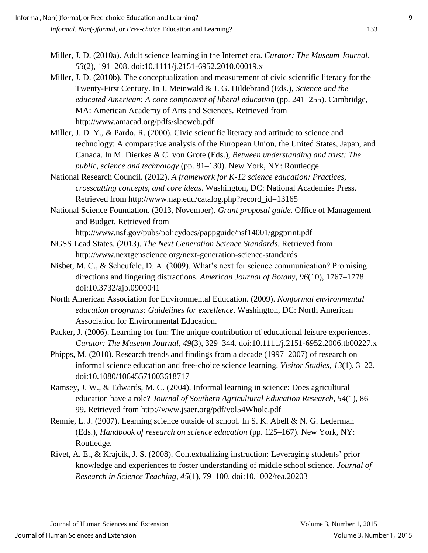- Miller, J. D. (2010a). Adult science learning in the Internet era. *Curator: The Museum Journal*, *53*(2), 191–208. doi:10.1111/j.2151-6952.2010.00019.x
- Miller, J. D. (2010b). The conceptualization and measurement of civic scientific literacy for the Twenty-First Century. In J. Meinwald & J. G. Hildebrand (Eds.), *Science and the educated American: A core component of liberal education* (pp. 241–255). Cambridge, MA: American Academy of Arts and Sciences. Retrieved from http://www.amacad.org/pdfs/slacweb.pdf
- Miller, J. D. Y., & Pardo, R. (2000). Civic scientific literacy and attitude to science and technology: A comparative analysis of the European Union, the United States, Japan, and Canada. In M. Dierkes & C. von Grote (Eds.), *Between understanding and trust: The public, science and technology* (pp. 81–130). New York, NY: Routledge.
- National Research Council. (2012). *A framework for K-12 science education: Practices, crosscutting concepts, and core ideas*. Washington, DC: National Academies Press. Retrieved from http://www.nap.edu/catalog.php?record\_id=13165
- National Science Foundation. (2013, November). *Grant proposal guide*. Office of Management and Budget. Retrieved from

http://www.nsf.gov/pubs/policydocs/pappguide/nsf14001/gpgprint.pdf

- NGSS Lead States. (2013). *The Next Generation Science Standards*. Retrieved from http://www.nextgenscience.org/next-generation-science-standards
- Nisbet, M. C., & Scheufele, D. A. (2009). What's next for science communication? Promising directions and lingering distractions. *American Journal of Botany*, *96*(10), 1767–1778. doi:10.3732/ajb.0900041
- North American Association for Environmental Education. (2009). *Nonformal environmental education programs: Guidelines for excellence*. Washington, DC: North American Association for Environmental Education.
- Packer, J. (2006). Learning for fun: The unique contribution of educational leisure experiences. *Curator: The Museum Journal*, *49*(3), 329–344. doi:10.1111/j.2151-6952.2006.tb00227.x
- Phipps, M. (2010). Research trends and findings from a decade (1997–2007) of research on informal science education and free-choice science learning. *Visitor Studies*, *13*(1), 3–22. doi:10.1080/10645571003618717
- Ramsey, J. W., & Edwards, M. C. (2004). Informal learning in science: Does agricultural education have a role? *Journal of Southern Agricultural Education Research*, *54*(1), 86– 99. Retrieved from http://www.jsaer.org/pdf/vol54Whole.pdf
- Rennie, L. J. (2007). Learning science outside of school. In S. K. Abell & N. G. Lederman (Eds.), *Handbook of research on science education* (pp. 125–167). New York, NY: Routledge.
- Rivet, A. E., & Krajcik, J. S. (2008). Contextualizing instruction: Leveraging students' prior knowledge and experiences to foster understanding of middle school science. *Journal of Research in Science Teaching*, *45*(1), 79–100. doi:10.1002/tea.20203